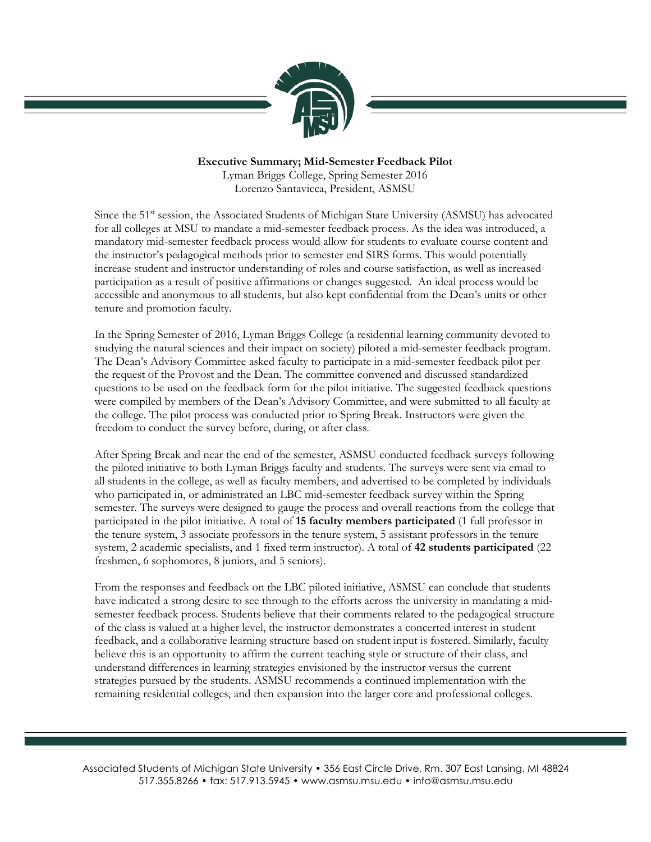

## **Executive Summary; Mid-Semester Feedback Pilot**

Lyman Briggs College, Spring Semester 2016 Lorenzo Santavicca, President, ASMSU

Since the 51<sup>st</sup> session, the Associated Students of Michigan State University (ASMSU) has advocated for all colleges at MSU to mandate a mid-semester feedback process. As the idea was introduced, a mandatory mid-semester feedback process would allow for students to evaluate course content and the instructor's pedagogical methods prior to semester end SIRS forms. This would potentially increase student and instructor understanding of roles and course satisfaction, as well as increased participation as a result of positive affirmations or changes suggested. An ideal process would be accessible and anonymous to all students, but also kept confidential from the Dean's units or other tenure and promotion faculty.

In the Spring Semester of 2016, Lyman Briggs College (a residential learning community devoted to studying the natural sciences and their impact on society) piloted a mid-semester feedback program. The Dean's Advisory Committee asked faculty to participate in a mid-semester feedback pilot per the request of the Provost and the Dean. The committee convened and discussed standardized questions to be used on the feedback form for the pilot initiative. The suggested feedback questions were compiled by members of the Dean's Advisory Committee, and were submitted to all faculty at the college. The pilot process was conducted prior to Spring Break. Instructors were given the freedom to conduct the survey before, during, or after class.

After Spring Break and near the end of the semester, ASMSU conducted feedback surveys following the piloted initiative to both Lyman Briggs faculty and students. The surveys were sent via email to all students in the college, as well as faculty members, and advertised to be completed by individuals who participated in, or administrated an LBC mid-semester feedback survey within the Spring semester. The surveys were designed to gauge the process and overall reactions from the college that participated in the pilot initiative. A total of **15 faculty members participated** (1 full professor in the tenure system, 3 associate professors in the tenure system, 5 assistant professors in the tenure system, 2 academic specialists, and 1 fixed term instructor). A total of **42 students participated** (22 freshmen, 6 sophomores, 8 juniors, and 5 seniors).

From the responses and feedback on the LBC piloted initiative, ASMSU can conclude that students have indicated a strong desire to see through to the efforts across the university in mandating a midsemester feedback process. Students believe that their comments related to the pedagogical structure of the class is valued at a higher level, the instructor demonstrates a concerted interest in student feedback, and a collaborative learning structure based on student input is fostered. Similarly, faculty believe this is an opportunity to affirm the current teaching style or structure of their class, and understand differences in learning strategies envisioned by the instructor versus the current strategies pursued by the students. ASMSU recommends a continued implementation with the remaining residential colleges, and then expansion into the larger core and professional colleges.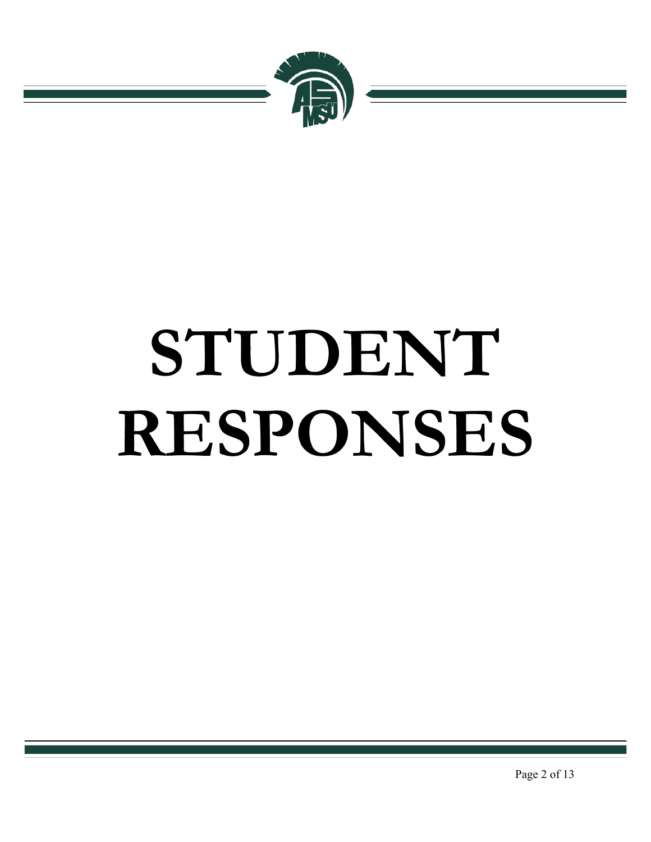

# **STUDENT RESPONSES**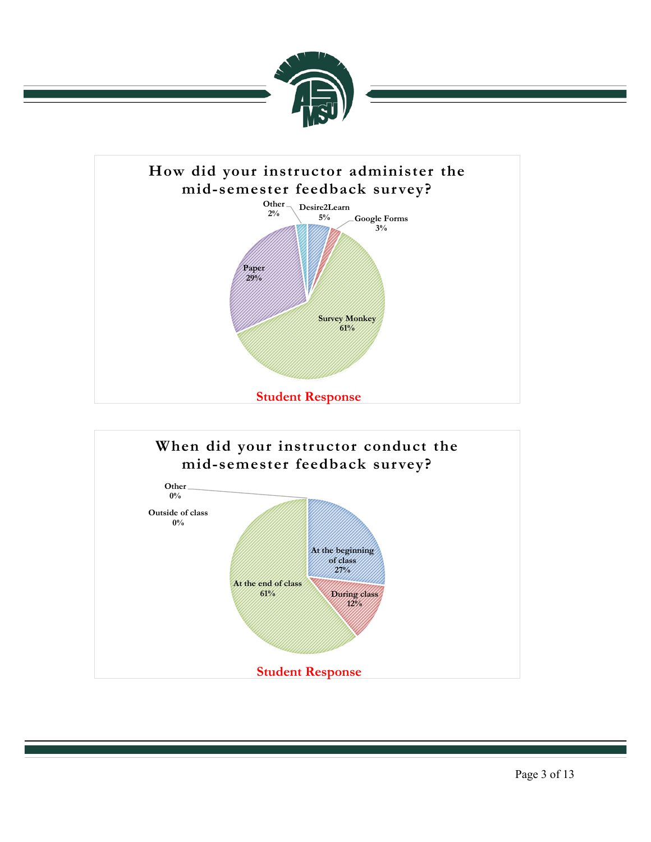



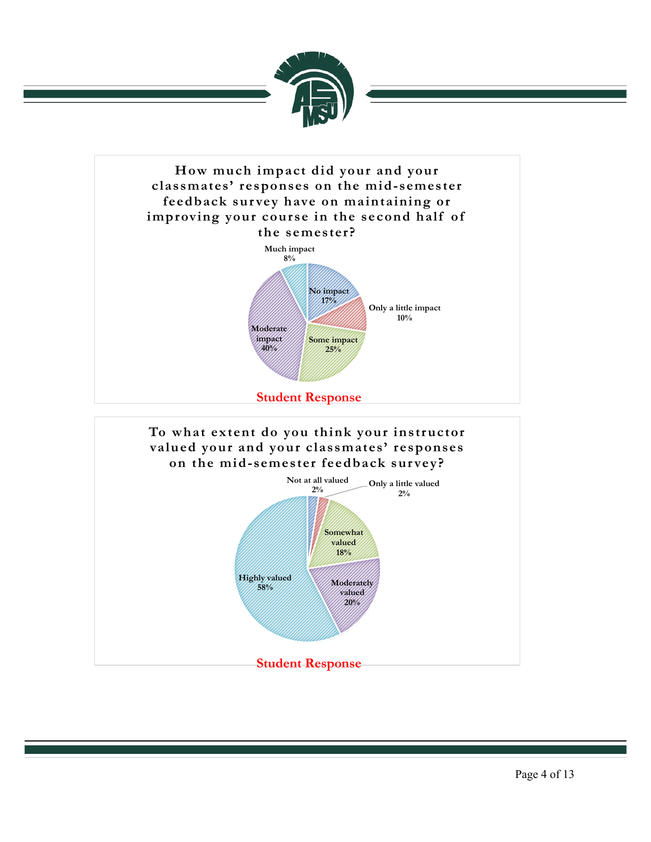

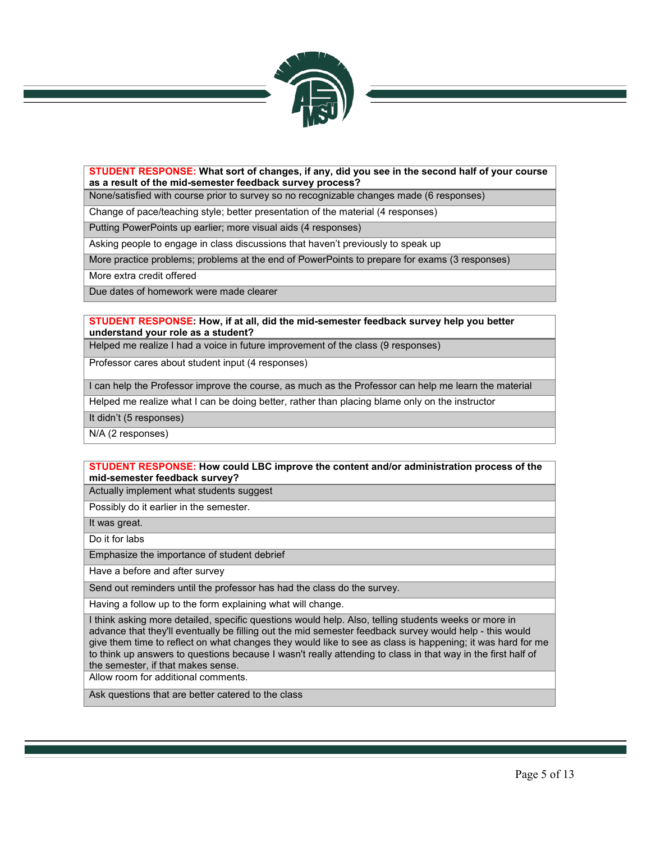

### **STUDENT RESPONSE: What sort of changes, if any, did you see in the second half of your course as a result of the mid-semester feedback survey process?**

None/satisfied with course prior to survey so no recognizable changes made (6 responses)

Change of pace/teaching style; better presentation of the material (4 responses)

Putting PowerPoints up earlier; more visual aids (4 responses)

Asking people to engage in class discussions that haven't previously to speak up

More practice problems; problems at the end of PowerPoints to prepare for exams (3 responses)

More extra credit offered

Due dates of homework were made clearer

### **STUDENT RESPONSE: How, if at all, did the mid-semester feedback survey help you better understand your role as a student?**

Helped me realize I had a voice in future improvement of the class (9 responses)

Professor cares about student input (4 responses)

I can help the Professor improve the course, as much as the Professor can help me learn the material

Helped me realize what I can be doing better, rather than placing blame only on the instructor

It didn't (5 responses)

N/A (2 responses)

### **STUDENT RESPONSE: How could LBC improve the content and/or administration process of the mid-semester feedback survey?**

Actually implement what students suggest

Possibly do it earlier in the semester.

It was great.

Do it for labs

Emphasize the importance of student debrief

Have a before and after survey

Send out reminders until the professor has had the class do the survey.

Having a follow up to the form explaining what will change.

I think asking more detailed, specific questions would help. Also, telling students weeks or more in advance that they'll eventually be filling out the mid semester feedback survey would help - this would give them time to reflect on what changes they would like to see as class is happening; it was hard for me to think up answers to questions because I wasn't really attending to class in that way in the first half of the semester, if that makes sense.

Allow room for additional comments.

Ask questions that are better catered to the class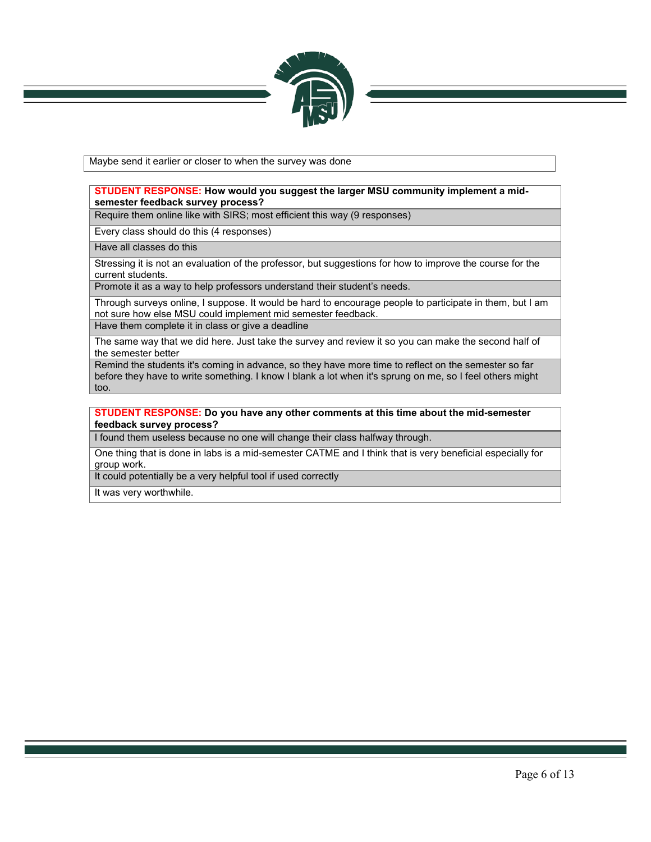

Maybe send it earlier or closer to when the survey was done

### **STUDENT RESPONSE: How would you suggest the larger MSU community implement a midsemester feedback survey process?**

Require them online like with SIRS; most efficient this way (9 responses)

Every class should do this (4 responses)

Have all classes do this

Stressing it is not an evaluation of the professor, but suggestions for how to improve the course for the current students.

Promote it as a way to help professors understand their student's needs.

Through surveys online, I suppose. It would be hard to encourage people to participate in them, but I am not sure how else MSU could implement mid semester feedback. Have them complete it in class or give a deadline

The same way that we did here. Just take the survey and review it so you can make the second half of the semester better

Remind the students it's coming in advance, so they have more time to reflect on the semester so far before they have to write something. I know I blank a lot when it's sprung on me, so I feel others might too.

### **STUDENT RESPONSE: Do you have any other comments at this time about the mid-semester feedback survey process?**

I found them useless because no one will change their class halfway through.

One thing that is done in labs is a mid-semester CATME and I think that is very beneficial especially for group work.

It could potentially be a very helpful tool if used correctly

It was very worthwhile.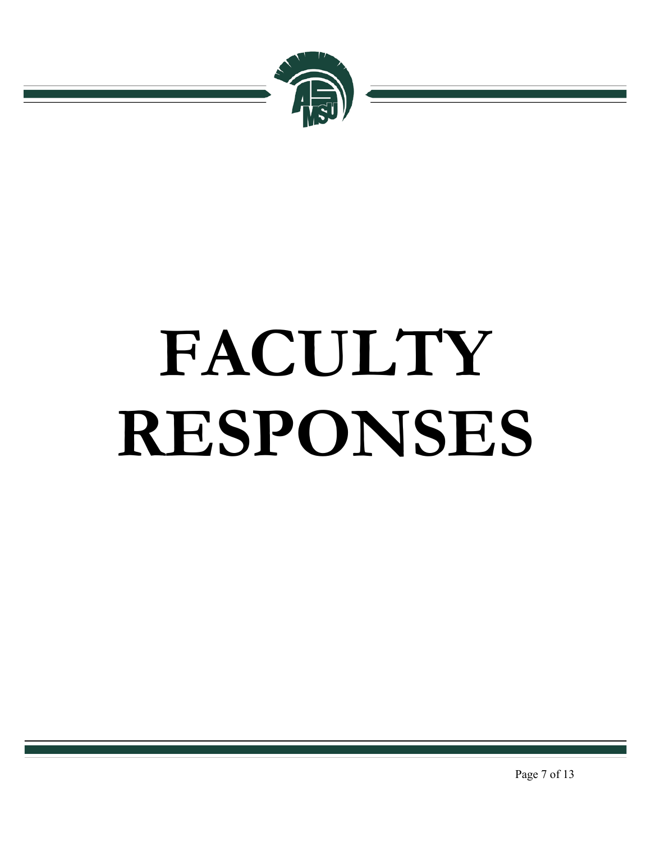

# **FACULTY RESPONSES**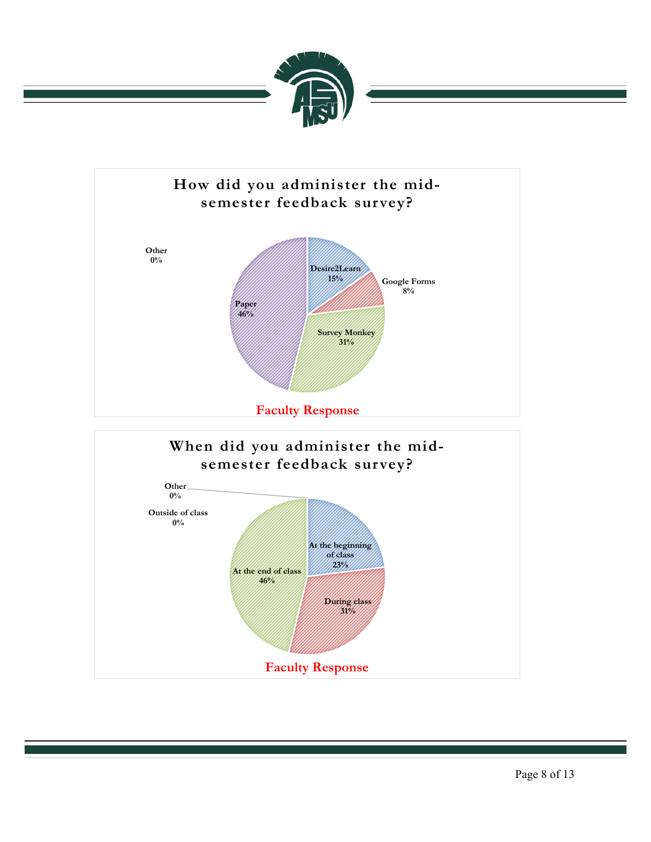

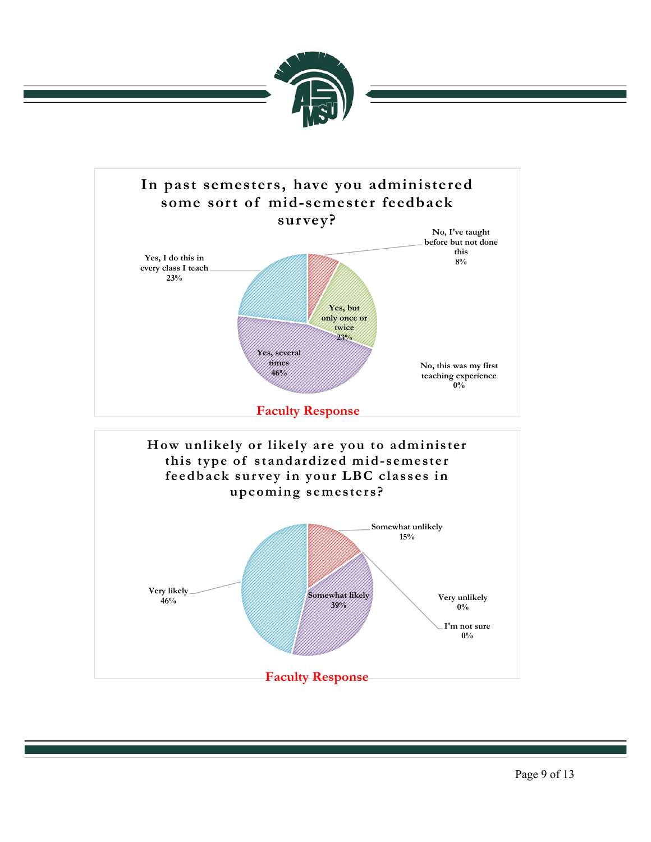

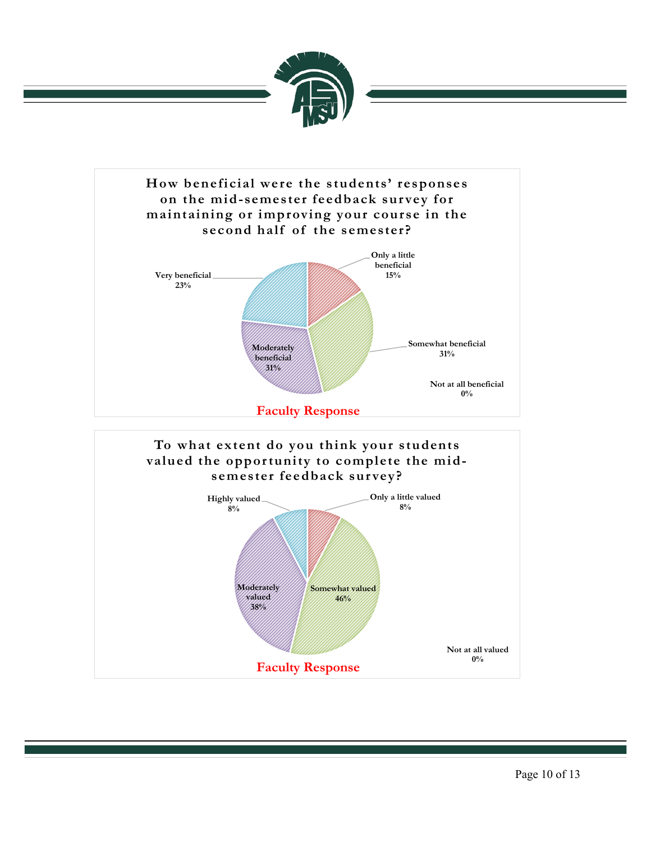

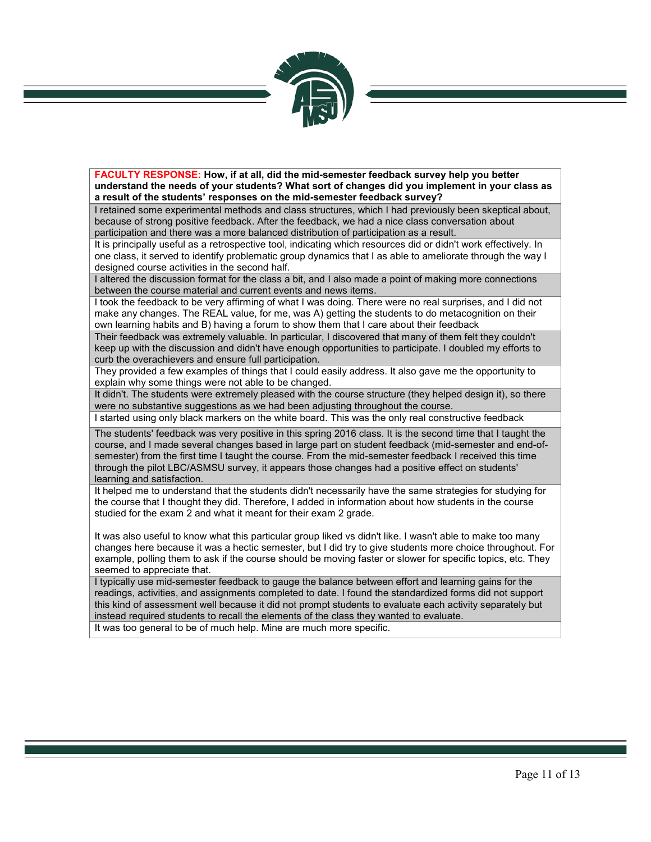

**FACULTY RESPONSE: How, if at all, did the mid-semester feedback survey help you better understand the needs of your students? What sort of changes did you implement in your class as a result of the students' responses on the mid-semester feedback survey?**

I retained some experimental methods and class structures, which I had previously been skeptical about, because of strong positive feedback. After the feedback, we had a nice class conversation about participation and there was a more balanced distribution of participation as a result.

It is principally useful as a retrospective tool, indicating which resources did or didn't work effectively. In one class, it served to identify problematic group dynamics that I as able to ameliorate through the way I designed course activities in the second half.

I altered the discussion format for the class a bit, and I also made a point of making more connections between the course material and current events and news items.

I took the feedback to be very affirming of what I was doing. There were no real surprises, and I did not make any changes. The REAL value, for me, was A) getting the students to do metacognition on their own learning habits and B) having a forum to show them that I care about their feedback

Their feedback was extremely valuable. In particular, I discovered that many of them felt they couldn't keep up with the discussion and didn't have enough opportunities to participate. I doubled my efforts to curb the overachievers and ensure full participation.

They provided a few examples of things that I could easily address. It also gave me the opportunity to explain why some things were not able to be changed.

It didn't. The students were extremely pleased with the course structure (they helped design it), so there were no substantive suggestions as we had been adjusting throughout the course.

I started using only black markers on the white board. This was the only real constructive feedback

The students' feedback was very positive in this spring 2016 class. It is the second time that I taught the course, and I made several changes based in large part on student feedback (mid-semester and end-ofsemester) from the first time I taught the course. From the mid-semester feedback I received this time through the pilot LBC/ASMSU survey, it appears those changes had a positive effect on students' learning and satisfaction.

It helped me to understand that the students didn't necessarily have the same strategies for studying for the course that I thought they did. Therefore, I added in information about how students in the course studied for the exam 2 and what it meant for their exam 2 grade.

It was also useful to know what this particular group liked vs didn't like. I wasn't able to make too many changes here because it was a hectic semester, but I did try to give students more choice throughout. For example, polling them to ask if the course should be moving faster or slower for specific topics, etc. They seemed to appreciate that.

I typically use mid-semester feedback to gauge the balance between effort and learning gains for the readings, activities, and assignments completed to date. I found the standardized forms did not support this kind of assessment well because it did not prompt students to evaluate each activity separately but instead required students to recall the elements of the class they wanted to evaluate.

It was too general to be of much help. Mine are much more specific.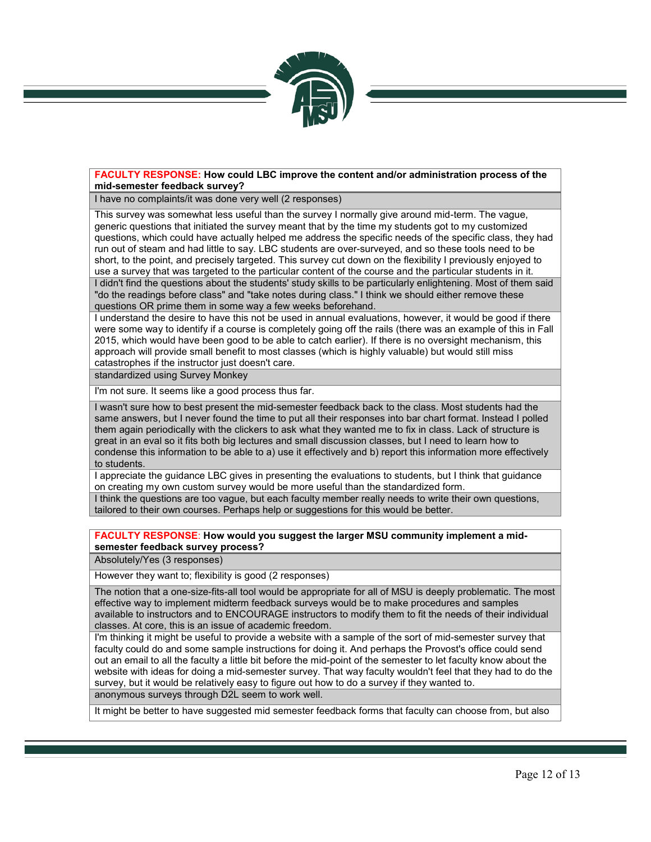

### **FACULTY RESPONSE: How could LBC improve the content and/or administration process of the mid-semester feedback survey?**

I have no complaints/it was done very well (2 responses)

This survey was somewhat less useful than the survey I normally give around mid-term. The vague, generic questions that initiated the survey meant that by the time my students got to my customized questions, which could have actually helped me address the specific needs of the specific class, they had run out of steam and had little to say. LBC students are over-surveyed, and so these tools need to be short, to the point, and precisely targeted. This survey cut down on the flexibility I previously enjoyed to use a survey that was targeted to the particular content of the course and the particular students in it. I didn't find the questions about the students' study skills to be particularly enlightening. Most of them said "do the readings before class" and "take notes during class." I think we should either remove these questions OR prime them in some way a few weeks beforehand.

I understand the desire to have this not be used in annual evaluations, however, it would be good if there were some way to identify if a course is completely going off the rails (there was an example of this in Fall 2015, which would have been good to be able to catch earlier). If there is no oversight mechanism, this approach will provide small benefit to most classes (which is highly valuable) but would still miss catastrophes if the instructor just doesn't care.

standardized using Survey Monkey

I'm not sure. It seems like a good process thus far.

I wasn't sure how to best present the mid-semester feedback back to the class. Most students had the same answers, but I never found the time to put all their responses into bar chart format. Instead I polled them again periodically with the clickers to ask what they wanted me to fix in class. Lack of structure is great in an eval so it fits both big lectures and small discussion classes, but I need to learn how to condense this information to be able to a) use it effectively and b) report this information more effectively to students.

I appreciate the guidance LBC gives in presenting the evaluations to students, but I think that guidance on creating my own custom survey would be more useful than the standardized form.

I think the questions are too vague, but each faculty member really needs to write their own questions, tailored to their own courses. Perhaps help or suggestions for this would be better.

**FACULTY RESPONSE**: **How would you suggest the larger MSU community implement a midsemester feedback survey process?**

Absolutely/Yes (3 responses)

However they want to; flexibility is good (2 responses)

The notion that a one-size-fits-all tool would be appropriate for all of MSU is deeply problematic. The most effective way to implement midterm feedback surveys would be to make procedures and samples available to instructors and to ENCOURAGE instructors to modify them to fit the needs of their individual classes. At core, this is an issue of academic freedom.

I'm thinking it might be useful to provide a website with a sample of the sort of mid-semester survey that faculty could do and some sample instructions for doing it. And perhaps the Provost's office could send out an email to all the faculty a little bit before the mid-point of the semester to let faculty know about the website with ideas for doing a mid-semester survey. That way faculty wouldn't feel that they had to do the survey, but it would be relatively easy to figure out how to do a survey if they wanted to. anonymous surveys through D2L seem to work well.

It might be better to have suggested mid semester feedback forms that faculty can choose from, but also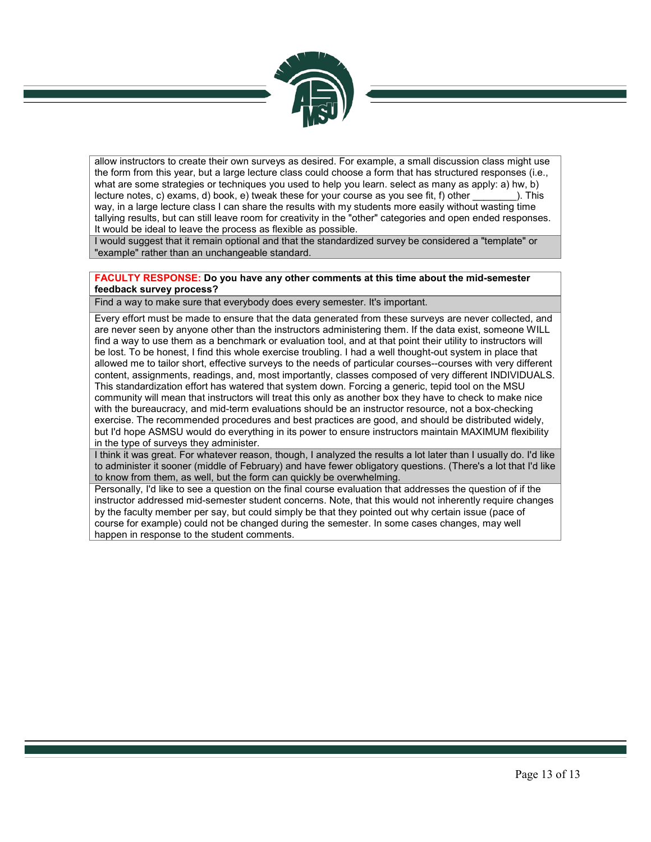

allow instructors to create their own surveys as desired. For example, a small discussion class might use the form from this year, but a large lecture class could choose a form that has structured responses (i.e., what are some strategies or techniques you used to help you learn. select as many as apply: a) hw, b) lecture notes, c) exams, d) book, e) tweak these for your course as you see fit, f) other \_\_\_\_\_\_\_\_). This way, in a large lecture class I can share the results with my students more easily without wasting time tallying results, but can still leave room for creativity in the "other" categories and open ended responses. It would be ideal to leave the process as flexible as possible.

I would suggest that it remain optional and that the standardized survey be considered a "template" or "example" rather than an unchangeable standard.

### **FACULTY RESPONSE: Do you have any other comments at this time about the mid-semester feedback survey process?**

Find a way to make sure that everybody does every semester. It's important.

Every effort must be made to ensure that the data generated from these surveys are never collected, and are never seen by anyone other than the instructors administering them. If the data exist, someone WILL find a way to use them as a benchmark or evaluation tool, and at that point their utility to instructors will be lost. To be honest, I find this whole exercise troubling. I had a well thought-out system in place that allowed me to tailor short, effective surveys to the needs of particular courses--courses with very different content, assignments, readings, and, most importantly, classes composed of very different INDIVIDUALS. This standardization effort has watered that system down. Forcing a generic, tepid tool on the MSU community will mean that instructors will treat this only as another box they have to check to make nice with the bureaucracy, and mid-term evaluations should be an instructor resource, not a box-checking exercise. The recommended procedures and best practices are good, and should be distributed widely, but I'd hope ASMSU would do everything in its power to ensure instructors maintain MAXIMUM flexibility in the type of surveys they administer.

I think it was great. For whatever reason, though, I analyzed the results a lot later than I usually do. I'd like to administer it sooner (middle of February) and have fewer obligatory questions. (There's a lot that I'd like to know from them, as well, but the form can quickly be overwhelming.

Personally, I'd like to see a question on the final course evaluation that addresses the question of if the instructor addressed mid-semester student concerns. Note, that this would not inherently require changes by the faculty member per say, but could simply be that they pointed out why certain issue (pace of course for example) could not be changed during the semester. In some cases changes, may well happen in response to the student comments.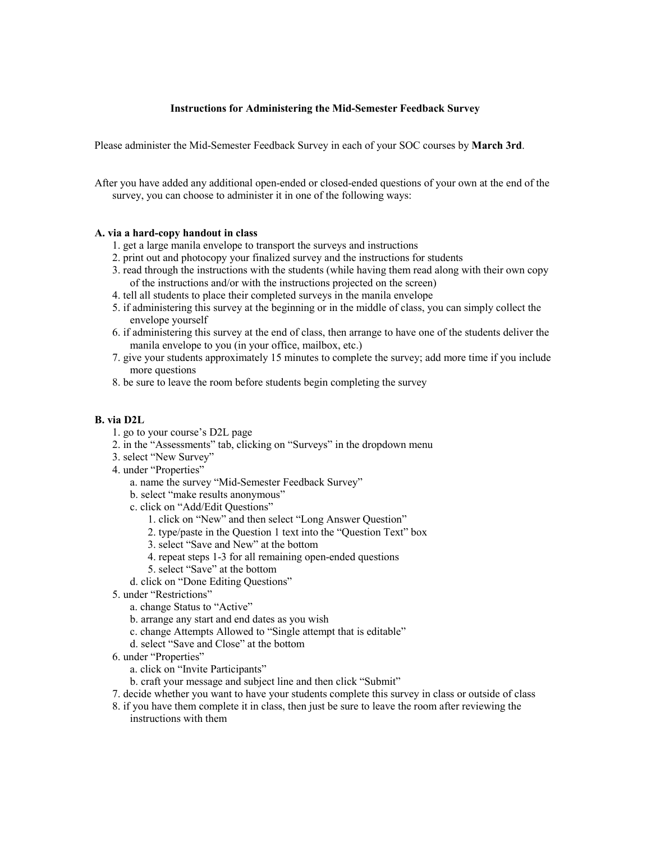### **Instructions for Administering the Mid-Semester Feedback Survey**

Please administer the Mid-Semester Feedback Survey in each of your SOC courses by **March 3rd**.

After you have added any additional open-ended or closed-ended questions of your own at the end of the survey, you can choose to administer it in one of the following ways:

### **A. via a hard-copy handout in class**

- 1. get a large manila envelope to transport the surveys and instructions
- 2. print out and photocopy your finalized survey and the instructions for students
- 3. read through the instructions with the students (while having them read along with their own copy of the instructions and/or with the instructions projected on the screen)
- 4. tell all students to place their completed surveys in the manila envelope
- 5. if administering this survey at the beginning or in the middle of class, you can simply collect the envelope yourself
- 6. if administering this survey at the end of class, then arrange to have one of the students deliver the manila envelope to you (in your office, mailbox, etc.)
- 7. give your students approximately 15 minutes to complete the survey; add more time if you include more questions
- 8. be sure to leave the room before students begin completing the survey

### **B. via D2L**

- 1. go to your course's D2L page
- 2. in the "Assessments" tab, clicking on "Surveys" in the dropdown menu
- 3. select "New Survey"
- 4. under "Properties"
	- a. name the survey "Mid-Semester Feedback Survey"
	- b. select "make results anonymous"
	- c. click on "Add/Edit Questions"
		- 1. click on "New" and then select "Long Answer Question"
		- 2. type/paste in the Question 1 text into the "Question Text" box
		- 3. select "Save and New" at the bottom
		- 4. repeat steps 1-3 for all remaining open-ended questions
		- 5. select "Save" at the bottom
	- d. click on "Done Editing Questions"
- 5. under "Restrictions"
	- a. change Status to "Active"
	- b. arrange any start and end dates as you wish
	- c. change Attempts Allowed to "Single attempt that is editable"
	- d. select "Save and Close" at the bottom
- 6. under "Properties"
	- a. click on "Invite Participants"
	- b. craft your message and subject line and then click "Submit"
- 7. decide whether you want to have your students complete this survey in class or outside of class
- 8. if you have them complete it in class, then just be sure to leave the room after reviewing the instructions with them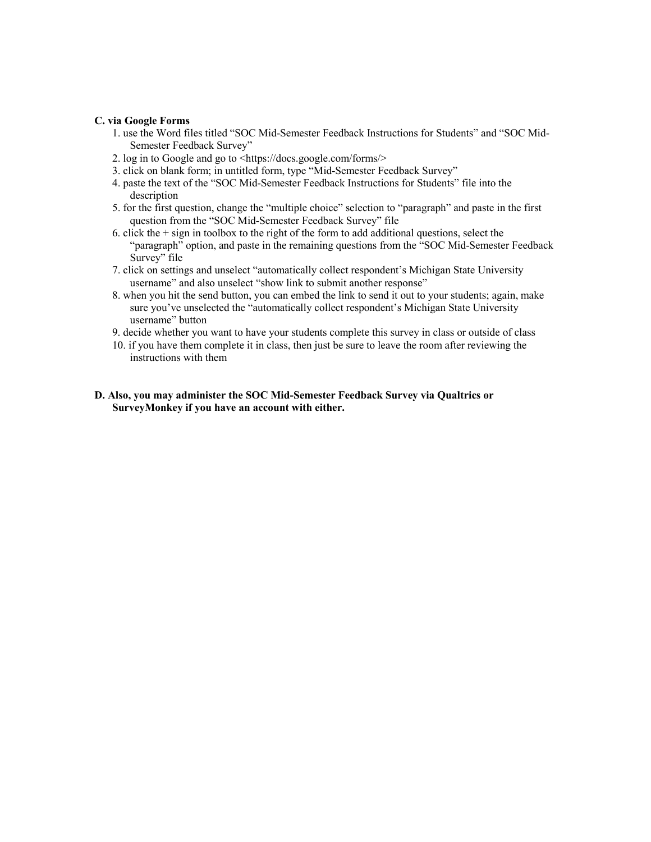### **C. via Google Forms**

- 1. use the Word files titled "SOC Mid-Semester Feedback Instructions for Students" and "SOC Mid-Semester Feedback Survey"
- 2. log in to Google and go to <https://docs.google.com/forms/>
- 3. click on blank form; in untitled form, type "Mid-Semester Feedback Survey"
- 4. paste the text of the "SOC Mid-Semester Feedback Instructions for Students" file into the description
- 5. for the first question, change the "multiple choice" selection to "paragraph" and paste in the first question from the "SOC Mid-Semester Feedback Survey" file
- 6. click the  $+$  sign in toolbox to the right of the form to add additional questions, select the "paragraph" option, and paste in the remaining questions from the "SOC Mid-Semester Feedback Survey" file
- 7. click on settings and unselect "automatically collect respondent's Michigan State University username" and also unselect "show link to submit another response"
- 8. when you hit the send button, you can embed the link to send it out to your students; again, make sure you've unselected the "automatically collect respondent's Michigan State University username" button
- 9. decide whether you want to have your students complete this survey in class or outside of class
- 10. if you have them complete it in class, then just be sure to leave the room after reviewing the instructions with them
- **D. Also, you may administer the SOC Mid-Semester Feedback Survey via Qualtrics or SurveyMonkey if you have an account with either.**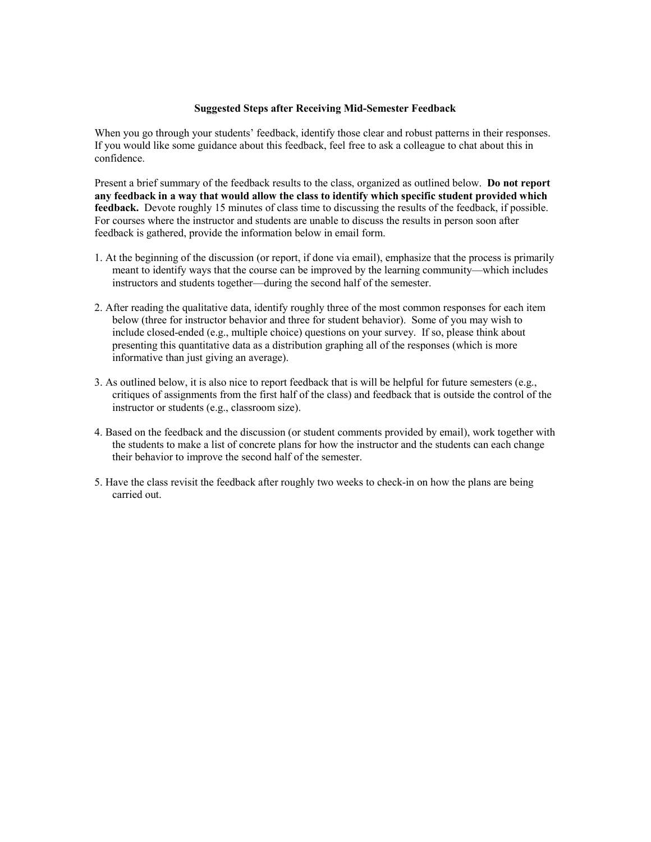### **Suggested Steps after Receiving Mid-Semester Feedback**

When you go through your students' feedback, identify those clear and robust patterns in their responses. If you would like some guidance about this feedback, feel free to ask a colleague to chat about this in confidence.

Present a brief summary of the feedback results to the class, organized as outlined below. **Do not report any feedback in a way that would allow the class to identify which specific student provided which feedback.** Devote roughly 15 minutes of class time to discussing the results of the feedback, if possible. For courses where the instructor and students are unable to discuss the results in person soon after feedback is gathered, provide the information below in email form.

- 1. At the beginning of the discussion (or report, if done via email), emphasize that the process is primarily meant to identify ways that the course can be improved by the learning community—which includes instructors and students together—during the second half of the semester.
- 2. After reading the qualitative data, identify roughly three of the most common responses for each item below (three for instructor behavior and three for student behavior). Some of you may wish to include closed-ended (e.g., multiple choice) questions on your survey. If so, please think about presenting this quantitative data as a distribution graphing all of the responses (which is more informative than just giving an average).
- 3. As outlined below, it is also nice to report feedback that is will be helpful for future semesters (e.g., critiques of assignments from the first half of the class) and feedback that is outside the control of the instructor or students (e.g., classroom size).
- 4. Based on the feedback and the discussion (or student comments provided by email), work together with the students to make a list of concrete plans for how the instructor and the students can each change their behavior to improve the second half of the semester.
- 5. Have the class revisit the feedback after roughly two weeks to check-in on how the plans are being carried out.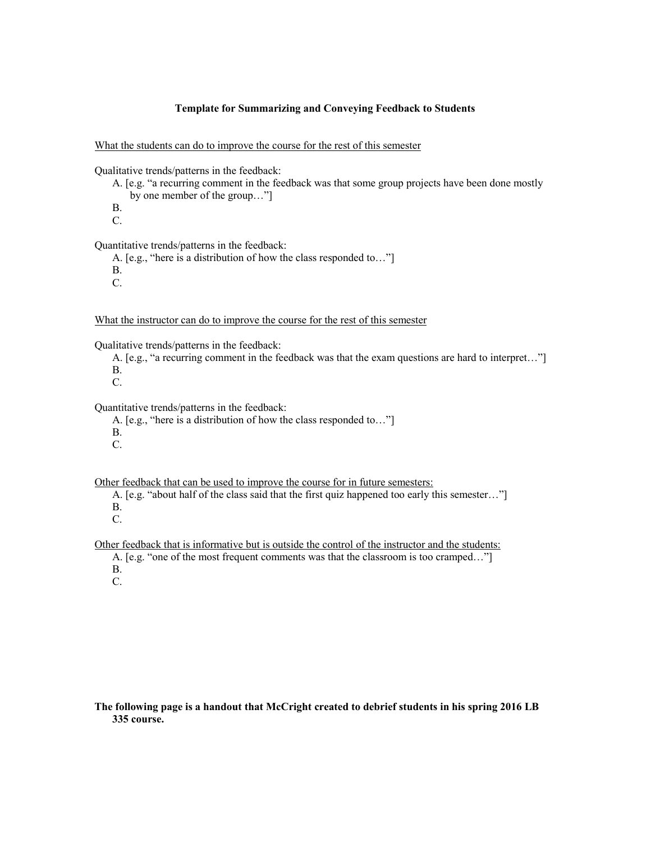### **Template for Summarizing and Conveying Feedback to Students**

What the students can do to improve the course for the rest of this semester

Qualitative trends/patterns in the feedback:

- A. [e.g. "a recurring comment in the feedback was that some group projects have been done mostly by one member of the group…"]
- B.
- C.

Quantitative trends/patterns in the feedback:

A. [e.g., "here is a distribution of how the class responded to…"]

B.

C.

What the instructor can do to improve the course for the rest of this semester

Qualitative trends/patterns in the feedback:

- A. [e.g., "a recurring comment in the feedback was that the exam questions are hard to interpret…"]
- B.
- C.

Quantitative trends/patterns in the feedback:

- A. [e.g., "here is a distribution of how the class responded to…"]
- B.
- C.

Other feedback that can be used to improve the course for in future semesters:

A. [e.g. "about half of the class said that the first quiz happened too early this semester…"] B.

C.

Other feedback that is informative but is outside the control of the instructor and the students:

A. [e.g. "one of the most frequent comments was that the classroom is too cramped..."]

B.

C.

### **The following page is a handout that McCright created to debrief students in his spring 2016 LB 335 course.**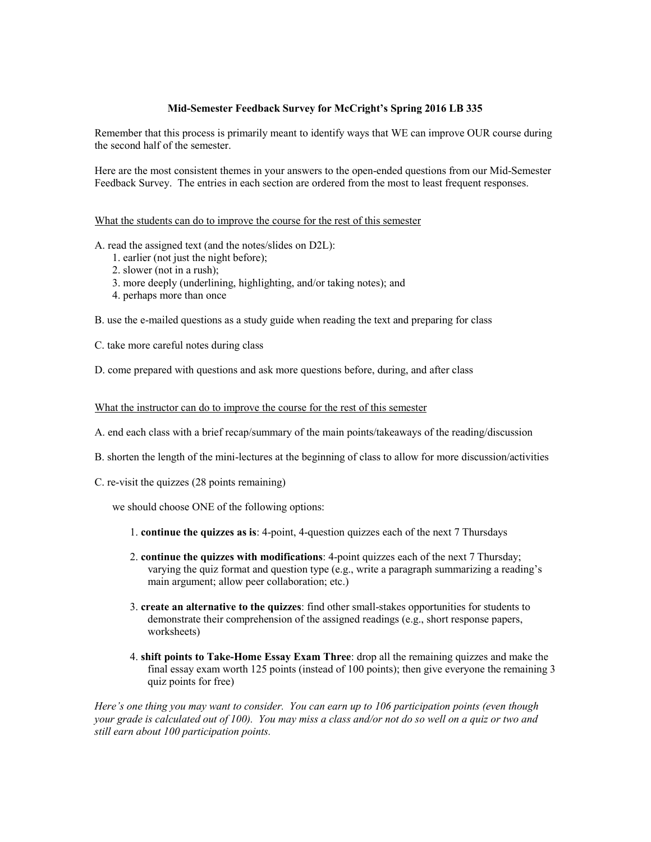### **Mid-Semester Feedback Survey for McCright's Spring 2016 LB 335**

Remember that this process is primarily meant to identify ways that WE can improve OUR course during the second half of the semester.

Here are the most consistent themes in your answers to the open-ended questions from our Mid-Semester Feedback Survey. The entries in each section are ordered from the most to least frequent responses.

### What the students can do to improve the course for the rest of this semester

A. read the assigned text (and the notes/slides on D2L):

- 1. earlier (not just the night before);
- 2. slower (not in a rush);
- 3. more deeply (underlining, highlighting, and/or taking notes); and
- 4. perhaps more than once

B. use the e-mailed questions as a study guide when reading the text and preparing for class

C. take more careful notes during class

D. come prepared with questions and ask more questions before, during, and after class

### What the instructor can do to improve the course for the rest of this semester

A. end each class with a brief recap/summary of the main points/takeaways of the reading/discussion

- B. shorten the length of the mini-lectures at the beginning of class to allow for more discussion/activities
- C. re-visit the quizzes (28 points remaining)

we should choose ONE of the following options:

- 1. **continue the quizzes as is**: 4-point, 4-question quizzes each of the next 7 Thursdays
- 2. **continue the quizzes with modifications**: 4-point quizzes each of the next 7 Thursday; varying the quiz format and question type (e.g., write a paragraph summarizing a reading's main argument; allow peer collaboration; etc.)
- 3. **create an alternative to the quizzes**: find other small-stakes opportunities for students to demonstrate their comprehension of the assigned readings (e.g., short response papers, worksheets)
- 4. **shift points to Take-Home Essay Exam Three**: drop all the remaining quizzes and make the final essay exam worth 125 points (instead of 100 points); then give everyone the remaining 3 quiz points for free)

*Here's one thing you may want to consider. You can earn up to 106 participation points (even though your grade is calculated out of 100). You may miss a class and/or not do so well on a quiz or two and still earn about 100 participation points.*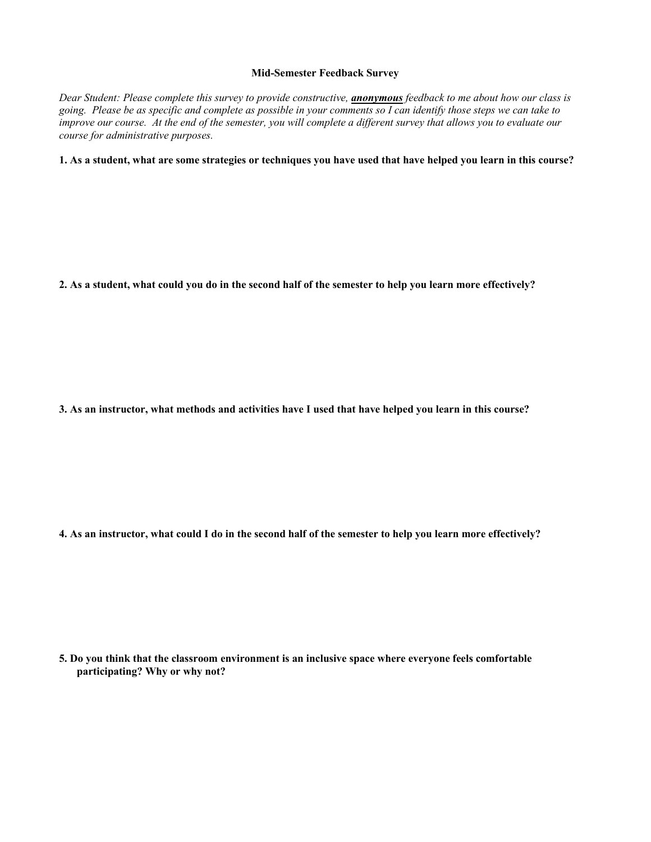### **Mid-Semester Feedback Survey**

*Dear Student: Please complete this survey to provide constructive, anonymous feedback to me about how our class is going. Please be as specific and complete as possible in your comments so I can identify those steps we can take to improve our course. At the end of the semester, you will complete a different survey that allows you to evaluate our course for administrative purposes.*

### **1. As a student, what are some strategies or techniques you have used that have helped you learn in this course?**

**2. As a student, what could you do in the second half of the semester to help you learn more effectively?**

**3. As an instructor, what methods and activities have I used that have helped you learn in this course?**

**4. As an instructor, what could I do in the second half of the semester to help you learn more effectively?**

**5. Do you think that the classroom environment is an inclusive space where everyone feels comfortable participating? Why or why not?**